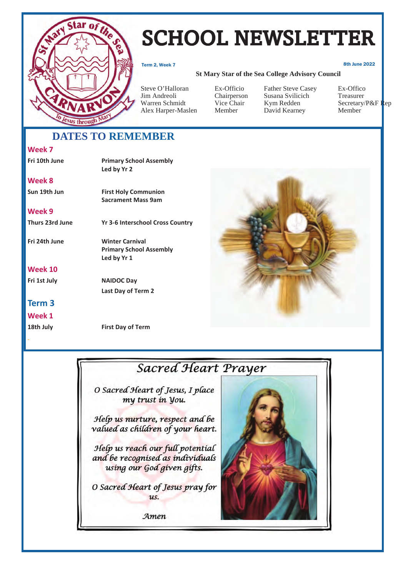

# SCHOOL NEWSLETTER

Term 2, Week 7 8th June 2022

#### **St Mary Star of the Sea College Advisory Council**

Steve O'Halloran Ex-Officio Father Steve Casey Ex-Offico Jim Andreoli Chairperson Susana Svilicich Treasurer Alex Harper-Maslen Member David Kearney Member

Vice Chair Kym Redden Secretary/P&F Rep<br>Member David Kearney Member

# **DATES TO REMEMBER**

### **Week 7**

## **Fri 10th June Primary School Assembly Led by Yr 2 Week 8 Sun 19th Jun First Holy Communion Sacrament Mass 9am Week 9**

### **Week 10**

### **Term 3**

**Week 1** 



**Thurs 23rd June Yr 3-6 Interschool Cross Country** 

**Fri 24th June Winter Carnival Primary School Assembly Led by Yr 1** 

**Fri 1st July NAIDOC Day Last Day of Term 2** 

**18th July First Day of Term** 



# **Sacred Heart Prayer**

O Sacred Heart of Jesus, I place my trust in you.

Help us nurture, respect and be valued as children of your heart.

Help us reach our full potential and be recognised as individuals using our God given gifts.

O Sacred Heart of Jesus pray for us.

Amen

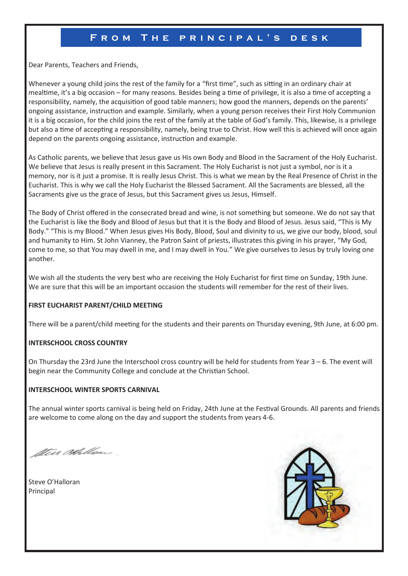### **From The principal's desk**

Dear Parents, Teachers and Friends,

Whenever a young child joins the rest of the family for a "first time", such as sitting in an ordinary chair at mealtime, it's a big occasion – for many reasons. Besides being a time of privilege, it is also a time of accepting a responsibility, namely, the acquisition of good table manners; how good the manners, depends on the parents' ongoing assistance, instruction and example. Similarly, when a young person receives their First Holy Communion it is a big occasion, for the child joins the rest of the family at the table of God's family. This, likewise, is a privilege but also a time of accepting a responsibility, namely, being true to Christ. How well this is achieved will once again depend on the parents ongoing assistance, instruction and example.

As Catholic parents, we believe that Jesus gave us His own Body and Blood in the Sacrament of the Holy Eucharist. We believe that Jesus is really present in this Sacrament. The Holy Eucharist is not just a symbol, nor is it a memory, nor is it just a promise. It is really Jesus Christ. This is what we mean by the Real Presence of Christ in the Eucharist. This is why we call the Holy Eucharist the Blessed Sacrament. All the Sacraments are blessed, all the Sacraments give us the grace of Jesus, but this Sacrament gives us Jesus, Himself.

The Body of Christ offered in the consecrated bread and wine, is not something but someone. We do not say that the Eucharist is like the Body and Blood of Jesus but that it is the Body and Blood of Jesus. Jesus said, "This is My Body." "This is my Blood." When Jesus gives His Body, Blood, Soul and divinity to us, we give our body, blood, soul and humanity to Him. St John Vianney, the Patron Saint of priests, illustrates this giving in his prayer, "My God, come to me, so that You may dwell in me, and I may dwell in You." We give ourselves to Jesus by truly loving one another.

We wish all the students the very best who are receiving the Holy Eucharist for first time on Sunday, 19th June. We are sure that this will be an important occasion the students will remember for the rest of their lives.

#### **FIRST EUCHARIST PARENT/CHILD MEETING**

There will be a parent/child meeting for the students and their parents on Thursday evening, 9th June, at 6:00 pm.

#### **INTERSCHOOL CROSS COUNTRY**

On Thursday the 23rd June the Interschool cross country will be held for students from Year  $3 - 6$ . The event will begin near the Community College and conclude at the Christian School.

#### **INTERSCHOOL WINTER SPORTS CARNIVAL**

The annual winter sports carnival is being held on Friday, 24th June at the Festival Grounds. All parents and friends are welcome to come along on the day and support the students from years 4-6.

the Allon.

Steve O'Halloran Principal

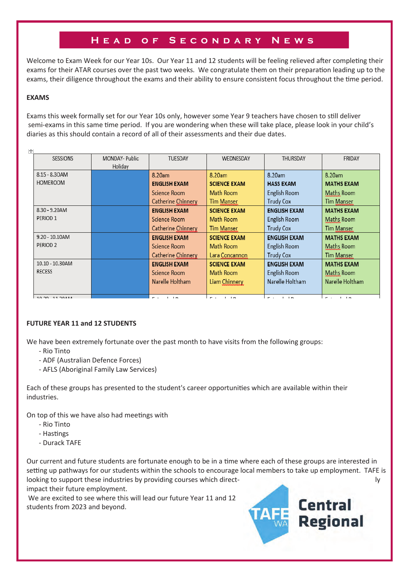## **Head of Secondary News**

Welcome to Exam Week for our Year 10s. Our Year 11 and 12 students will be feeling relieved after completing their exams for their ATAR courses over the past two weeks. We congratulate them on their preparation leading up to the exams, their diligence throughout the exams and their ability to ensure consistent focus throughout the time period.

#### **EXAMS**

 $\mathbf{r}$ 

Exams this week formally set for our Year 10s only, however some Year 9 teachers have chosen to still deliver semi-exams in this same time period. If you are wondering when these will take place, please look in your child's diaries as this should contain a record of all of their assessments and their due dates.

| <b>SESSIONS</b>     | MONDAY- Public | TUESDAY              | WEDNESDAY                                      | THURSDAY                                                | FRIDAY                            |
|---------------------|----------------|----------------------|------------------------------------------------|---------------------------------------------------------|-----------------------------------|
|                     | Holiday        |                      |                                                |                                                         |                                   |
|                     |                |                      |                                                |                                                         |                                   |
| 8.15 - 8.30AM       |                | 8.20am               | 8.20am                                         | 8.20am                                                  | 8.20am                            |
| <b>HOMEROOM</b>     |                | <b>ENGLISH EXAM</b>  | <b>SCIENCE EXAM</b>                            | <b>HASS EXAM</b>                                        | <b>MATHS EXAM</b>                 |
|                     |                | Science Room         | Math Room                                      | English Room                                            | Maths Room                        |
|                     |                | Catherine Chinnery   | <b>Tim Manser</b>                              | <b>Trudy Cox</b>                                        | <b>Tim Manser</b>                 |
| 8.30 - 9.20AM       |                | <b>ENGLISH EXAM</b>  | <b>SCIENCE EXAM</b>                            | <b>ENGLISH EXAM</b>                                     | <b>MATHS EXAM</b>                 |
| PERIOD <sub>1</sub> |                | Science Room         | Math Room                                      | English Room                                            | Maths Room                        |
|                     |                | Catherine Chinnery   | Tim Manser                                     | <b>Trudy Cox</b>                                        | <b>Tim Manser</b>                 |
| $9.20 - 10.10$ AM   |                | <b>ENGLISH EXAM</b>  | <b>SCIENCE EXAM</b>                            | <b>ENGLISH EXAM</b>                                     | <b>MATHS EXAM</b>                 |
| PERIOD <sub>2</sub> |                | Science Room         | Math Room                                      | English Room                                            | Maths Room                        |
|                     |                | Catherine Chinnery   | Lara Concannon                                 | <b>Trudy Cox</b>                                        | Tim Manser                        |
| 10.10 - 10.30AM     |                | <b>ENGLISH EXAM</b>  | <b>SCIENCE EXAM</b>                            | <b>ENGLISH EXAM</b>                                     | <b>MATHS EXAM</b>                 |
| <b>RECESS</b>       |                | Science Room         | Math Room                                      | English Room                                            | Maths Room                        |
|                     |                | Narelle Holtham      | Liam Chinnery                                  | Narelle Holtham                                         | Narelle Holtham                   |
|                     |                |                      |                                                |                                                         |                                   |
| 10.30 11.30454      |                | $ -$<br>$\mathbf{1}$ | $ -$<br>$\mathbf{1}$ $\mathbf{1}$ $\mathbf{6}$ | $\sim$ $\sim$<br>$\mathbf{1}$ $\mathbf{1}$ $\mathbf{6}$ | 1.1 <sub>m</sub><br>$\sim$ $\sim$ |

#### **FUTURE YEAR 11 and 12 STUDENTS**

We have been extremely fortunate over the past month to have visits from the following groups:

- Rio Tinto
- ADF (Australian Defence Forces)
- AFLS (Aboriginal Family Law Services)

Each of these groups has presented to the student's career opportunities which are available within their industries.

On top of this we have also had meetings with

- Rio Tinto
- Hastings
- Durack TAFE

Our current and future students are fortunate enough to be in a time where each of these groups are interested in setting up pathways for our students within the schools to encourage local members to take up employment. TAFE is looking to support these industries by providing courses which direct- ly and the ly state of the ly state of the ly impact their future employment.

 We are excited to see where this will lead our future Year 11 and 12 students from 2023 and beyond.

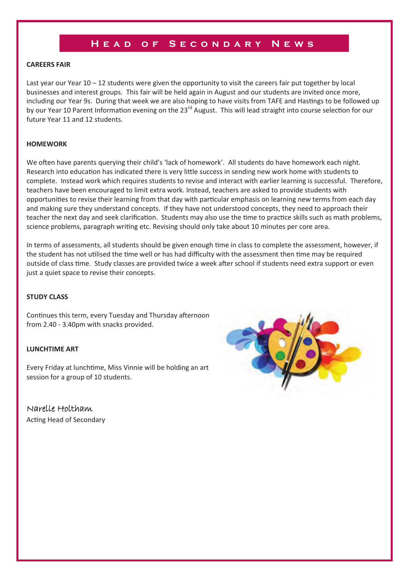### **Head of Secondary News**

#### **CAREERS FAIR**

Last year our Year 10 – 12 students were given the opportunity to visit the careers fair put together by local businesses and interest groups. This fair will be held again in August and our students are invited once more, including our Year 9s. During that week we are also hoping to have visits from TAFE and Hastings to be followed up by our Year 10 Parent Information evening on the 23<sup>rd</sup> August. This will lead straight into course selection for our future Year 11 and 12 students.

#### **HOMEWORK**

We often have parents querving their child's 'lack of homework'. All students do have homework each night. Research into education has indicated there is very little success in sending new work home with students to complete. Instead work which requires students to revise and interact with earlier learning is successful. Therefore, teachers have been encouraged to limit extra work. Instead, teachers are asked to provide students with opportunities to revise their learning from that day with particular emphasis on learning new terms from each day and making sure they understand concepts. If they have not understood concepts, they need to approach their teacher the next day and seek clarification. Students may also use the time to practice skills such as math problems, science problems, paragraph writing etc. Revising should only take about 10 minutes per core area.

In terms of assessments, all students should be given enough time in class to complete the assessment, however, if the student has not utilised the time well or has had difficulty with the assessment then time may be required outside of class time. Study classes are provided twice a week after school if students need extra support or even just a quiet space to revise their concepts.

#### **STUDY CLASS**

Continues this term, every Tuesday and Thursday afternoon from 2.40 - 3.40pm with snacks provided.

#### **LUNCHTIME ART**

Every Friday at lunchtime, Miss Vinnie will be holding an art session for a group of 10 students.

Narelle Holtham Acting Head of Secondary

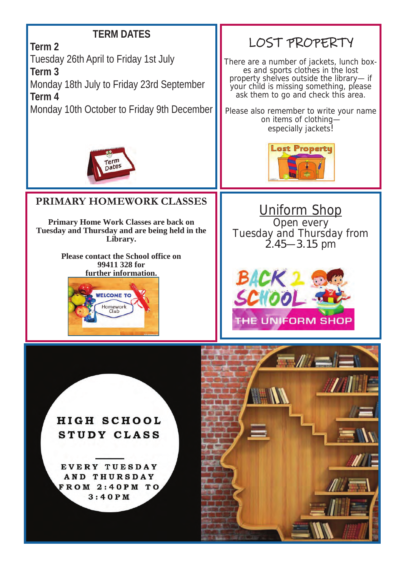# **TERM DATES**

**Term 2** 

Tuesday 26th April to Friday 1st July

**Term 3** 

Monday 18th July to Friday 23rd September **Term 4** 

Monday 10th October to Friday 9th December



There are a number of jackets, lunch boxes and sports clothes in the lost property shelves outside the library— if your child is missing something, please ask them to go and check this area.

Please also remember to write your name on items of clothing especially jackets!

**Lost Propertu** 



# **PRIMARY HOMEWORK CLASSES**

**Primary Home Work Classes are back on Tuesday and Thursday and are being held in the Library.** 

> **Please contact the School office on 99411 328 for further information.**



Uniform Shop Open every Tuesday and Thursday from  $2.45 - 3.15$  pm



**HIGH SCHOOL** STUDY CLASS

EVERY TUESDAY AND THURSDAY FROM 2:40PM TO  $3:40$  PM

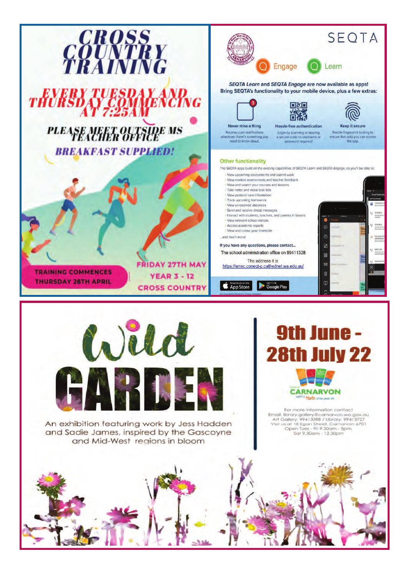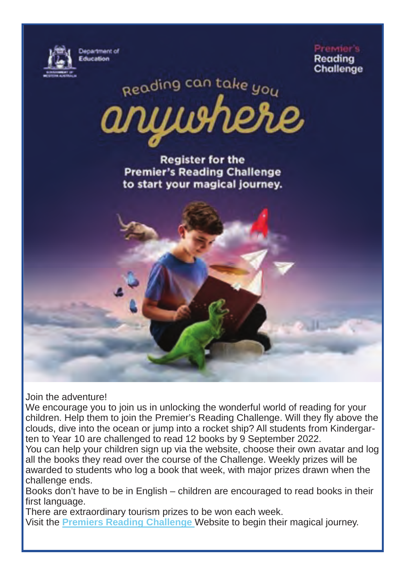

Ргаміаг'е Readina **Challenge** 

Reading can take you

**Register for the Premier's Reading Challenge** to start your magical journey.

Join the adventure!

We encourage you to join us in unlocking the wonderful world of reading for your children. Help them to join the Premier's Reading Challenge. Will they fly above the clouds, dive into the ocean or jump into a rocket ship? All students from Kindergarten to Year 10 are challenged to read 12 books by 9 September 2022.

You can help your children sign up via the website, choose their own avatar and log all the books they read over the course of the Challenge. Weekly prizes will be awarded to students who log a book that week, with major prizes drawn when the challenge ends.

Books don't have to be in English – children are encouraged to read books in their first language.

There are extraordinary tourism prizes to be won each week. Visit the **Premiers Reading Challenge** Website to begin their magical journey.